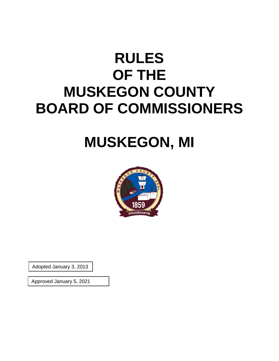# **RULES OF THE MUSKEGON COUNTY BOARD OF COMMISSIONERS**

# **MUSKEGON, MI**



Adopted January 3, 2013

Approved January 5, 2021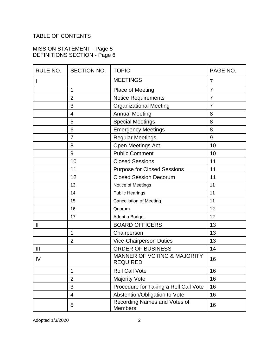## TABLE OF CONTENTS

## MISSION STATEMENT - Page 5 DEFINITIONS SECTION - Page 6

| RULE NO.       | SECTION NO.    | <b>TOPIC</b>                                              | PAGE NO.       |
|----------------|----------------|-----------------------------------------------------------|----------------|
|                |                | <b>MEETINGS</b>                                           | $\overline{7}$ |
|                | $\mathbf{1}$   | <b>Place of Meeting</b>                                   | $\overline{7}$ |
|                | $\overline{2}$ | <b>Notice Requirements</b>                                | $\overline{7}$ |
|                | 3              | <b>Organizational Meeting</b>                             | $\overline{7}$ |
|                | $\overline{4}$ | <b>Annual Meeting</b>                                     | 8              |
|                | 5              | <b>Special Meetings</b>                                   | 8              |
|                | 6              | <b>Emergency Meetings</b>                                 | 8              |
|                | 7              | <b>Regular Meetings</b>                                   | 9              |
|                | 8              | Open Meetings Act                                         | 10             |
|                | 9              | <b>Public Comment</b>                                     | 10             |
|                | 10             | <b>Closed Sessions</b>                                    | 11             |
|                | 11             | <b>Purpose for Closed Sessions</b>                        | 11             |
|                | 12             | <b>Closed Session Decorum</b>                             | 11             |
|                | 13             | Notice of Meetings                                        | 11             |
|                | 14             | <b>Public Hearings</b>                                    | 11             |
|                | 15             | <b>Cancellation of Meeting</b>                            | 11             |
|                | 16             | Quorum                                                    | 12             |
|                | 17             | Adopt a Budget                                            | 12             |
| $\mathsf{II}$  |                | <b>BOARD OFFICERS</b>                                     | 13             |
|                | 1              | Chairperson                                               | 13             |
|                | $\overline{2}$ | <b>Vice-Chairperson Duties</b>                            | 13             |
| $\mathbf{III}$ |                | <b>ORDER OF BUSINESS</b>                                  | 14             |
| IV             |                | <b>MANNER OF VOTING &amp; MAJORITY</b><br><b>REQUIRED</b> | 16             |
|                | 1              | <b>Roll Call Vote</b>                                     | 16             |
|                | $\overline{2}$ | <b>Majority Vote</b>                                      | 16             |
|                | 3              | Procedure for Taking a Roll Call Vote                     | 16             |
|                | 4              | Abstention/Obligation to Vote                             | 16             |
|                | 5              | Recording Names and Votes of<br>Members                   | 16             |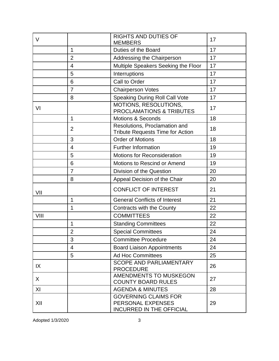| V    |                | <b>RIGHTS AND DUTIES OF</b><br><b>MEMBERS</b>                                       | 17 |
|------|----------------|-------------------------------------------------------------------------------------|----|
|      | $\mathbf{1}$   | Duties of the Board                                                                 | 17 |
|      | $\overline{2}$ | Addressing the Chairperson                                                          | 17 |
|      | $\overline{4}$ | Multiple Speakers Seeking the Floor                                                 | 17 |
|      | 5              | Interruptions                                                                       | 17 |
|      | 6              | Call to Order                                                                       | 17 |
|      | $\overline{7}$ | <b>Chairperson Votes</b>                                                            | 17 |
|      | 8              | <b>Speaking During Roll Call Vote</b>                                               | 17 |
| VI   |                | MOTIONS, RESOLUTIONS,<br>PROCLAMATIONS & TRIBUTES                                   | 17 |
|      | $\mathbf{1}$   | <b>Motions &amp; Seconds</b>                                                        | 18 |
|      | $\overline{2}$ | Resolutions, Proclamation and<br><b>Tribute Requests Time for Action</b>            | 18 |
|      | 3              | <b>Order of Motions</b>                                                             | 18 |
|      | 4              | <b>Further Information</b>                                                          | 19 |
|      | 5              | <b>Motions for Reconsideration</b>                                                  | 19 |
|      | 6              | Motions to Rescind or Amend                                                         | 19 |
|      | $\overline{7}$ | Division of the Question                                                            | 20 |
|      | 8              | Appeal Decision of the Chair                                                        | 20 |
| VII  |                | CONFLICT OF INTEREST                                                                | 21 |
|      | 1              | <b>General Conflicts of Interest</b>                                                | 21 |
|      | 1              | Contracts with the County                                                           | 22 |
| VIII |                | <b>COMMITTEES</b>                                                                   | 22 |
|      | $\mathbf{1}$   | <b>Standing Committees</b>                                                          | 22 |
|      | $\overline{2}$ | <b>Special Committees</b>                                                           | 24 |
|      | 3              | <b>Committee Procedure</b>                                                          | 24 |
|      | $\overline{4}$ | <b>Board Liaison Appointments</b>                                                   | 24 |
|      | 5              | <b>Ad Hoc Committees</b>                                                            | 25 |
| IX   |                | <b>SCOPE AND PARLIAMENTARY</b><br><b>PROCEDURE</b>                                  | 26 |
| X    |                | AMENDMENTS TO MUSKEGON<br><b>COUNTY BOARD RULES</b>                                 | 27 |
| XI   |                | <b>AGENDA &amp; MINUTES</b>                                                         | 28 |
| XII  |                | <b>GOVERNING CLAIMS FOR</b><br>PERSONAL EXPENSES<br><b>INCURRED IN THE OFFICIAL</b> | 29 |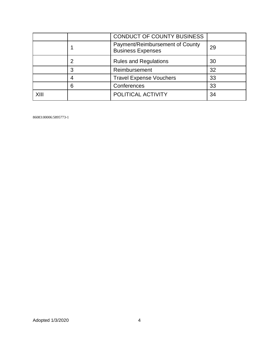|     |   | CONDUCT OF COUNTY BUSINESS                                  |    |
|-----|---|-------------------------------------------------------------|----|
|     |   | Payment/Reimbursement of County<br><b>Business Expenses</b> | 29 |
|     |   | <b>Rules and Regulations</b>                                | 30 |
|     | 3 | Reimbursement                                               | 32 |
|     | 4 | <b>Travel Expense Vouchers</b>                              | 33 |
|     | 6 | Conferences                                                 | 33 |
| XII |   | POLITICAL ACTIVITY                                          | 34 |

86083:00006:5895773-1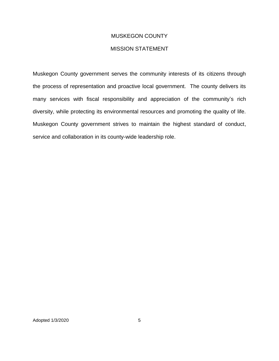## MUSKEGON COUNTY

## MISSION STATEMENT

Muskegon County government serves the community interests of its citizens through the process of representation and proactive local government. The county delivers its many services with fiscal responsibility and appreciation of the community's rich diversity, while protecting its environmental resources and promoting the quality of life. Muskegon County government strives to maintain the highest standard of conduct, service and collaboration in its county-wide leadership role.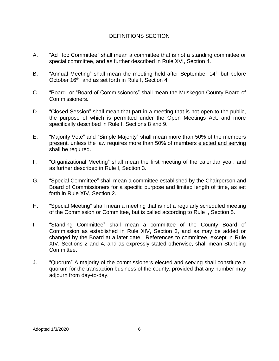## DEFINITIONS SECTION

- A. "Ad Hoc Committee" shall mean a committee that is not a standing committee or special committee, and as further described in Rule XVI, Section 4.
- B. "Annual Meeting" shall mean the meeting held after September 14<sup>th</sup> but before October 16<sup>th</sup>, and as set forth in Rule I, Section 4.
- C. "Board" or "Board of Commissioners" shall mean the Muskegon County Board of Commissioners.
- D. "Closed Session" shall mean that part in a meeting that is not open to the public, the purpose of which is permitted under the Open Meetings Act, and more specifically described in Rule I, Sections 8 and 9.
- E. "Majority Vote" and "Simple Majority" shall mean more than 50% of the members present, unless the law requires more than 50% of members elected and serving shall be required.
- F. "Organizational Meeting" shall mean the first meeting of the calendar year, and as further described in Rule I, Section 3.
- G. "Special Committee" shall mean a committee established by the Chairperson and Board of Commissioners for a specific purpose and limited length of time, as set forth in Rule XIV, Section 2.
- H. "Special Meeting" shall mean a meeting that is not a regularly scheduled meeting of the Commission or Committee, but is called according to Rule I, Section 5.
- I. "Standing Committee" shall mean a committee of the County Board of Commission as established in Rule XIV, Section 3, and as may be added or changed by the Board at a later date. References to committee, except in Rule XIV, Sections 2 and 4, and as expressly stated otherwise, shall mean Standing Committee.
- J. "Quorum" A majority of the commissioners elected and serving shall constitute a quorum for the transaction business of the county, provided that any number may adjourn from day-to-day.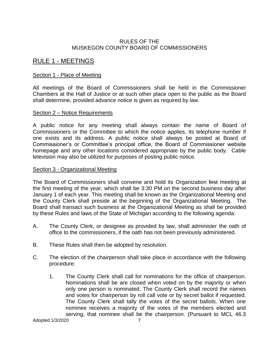## RULES OF THE MUSKEGON COUNTY BOARD OF COMMISSIONERS

## RULE 1 - MEETINGS

## Section 1 - Place of Meeting

All meetings of the Board of Commissioners shall be held in the Commissioner Chambers at the Hall of Justice or at such other place open to the public as the Board shall determine, provided advance notice is given as required by law.

## Section 2 – Notice Requirements

A public notice for any meeting shall always contain the name of Board of Commissioners or the Committee to which the notice applies, its telephone number if one exists and its address. A public notice shall always be posted at Board of Commissioner's or Committee's principal office, the Board of Commissioner website homepage and any other locations considered appropriate by the public body. Cable television may also be utilized for purposes of posting public notice.

## Section 3 - Organizational Meeting

The Board of Commissioners shall convene and hold its Organization first meeting at the first meeting of the year, which shall be 3:30 PM on the second business day after January 1 of each year. This meeting shall be known as the Organizational Meeting and the County Clerk shall preside at the beginning of the Organizational Meeting. The Board shall transact such business at the Organizational Meeting as shall be provided by these Rules and laws of the State of Michigan according to the following agenda:

- A. The County Clerk, or designee as provided by law, shall administer the oath of office to the commissioners, if the oath has not been previously administered.
- B. These Rules shall then be adopted by resolution.
- C. The election of the chairperson shall take place in accordance with the following procedure:
	- 1. The County Clerk shall call for nominations for the office of chairperson. Nominations shall be are closed when voted on by the majority or when only one person is nominated. The County Clerk shall record the names and votes for chairperson by roll call vote or by secret ballot if requested. The County Clerk shall tally the votes of the secret ballots. When one nominee receives a majority of the votes of the members elected and serving, that nominee shall be the chairperson. (Pursuant to MCL 46.3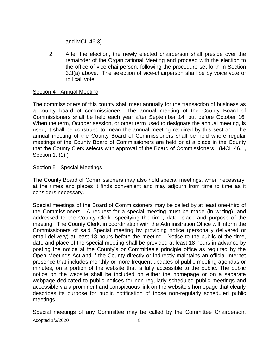and MCL 46.3).

2. After the election, the newly elected chairperson shall preside over the remainder of the Organizational Meeting and proceed with the election to the office of vice-chairperson, following the procedure set forth in Section 3.3(a) above. The selection of vice-chairperson shall be by voice vote or roll call vote.

## Section 4 - Annual Meeting

The commissioners of this county shall meet annually for the transaction of business as a county board of commissioners. The annual meeting of the County Board of Commissioners shall be held each year after September 14, but before October 16. When the term, October session, or other term used to designate the annual meeting, is used, it shall be construed to mean the annual meeting required by this section. The annual meeting of the County Board of Commissioners shall be held where regular meetings of the County Board of Commissioners are held or at a place in the County that the County Clerk selects with approval of the Board of Commissioners. (MCL 46.1, Section 1. (1).)

## Section 5 - Special Meetings

The County Board of Commissioners may also hold special meetings, when necessary, at the times and places it finds convenient and may adjourn from time to time as it considers necessary.

Special meetings of the Board of Commissioners may be called by at least one-third of the Commissioners. A request for a special meeting must be made (in writing), and addressed to the County Clerk, specifying the time, date, place and purpose of the meeting. The County Clerk, in coordination with the Administration Office will inform the Commissioners of said Special meeting by providing notice (personally delivered or email delivery) at least 18 hours before the meeting. Notice to the public of the time, date and place of the special meeting shall be provided at least 18 hours in advance by posting the notice at the County's or Committee's principle office as required by the Open Meetings Act and if the County directly or indirectly maintains an official internet presence that includes monthly or more frequent updates of public meeting agendas or minutes, on a portion of the website that is fully accessible to the public. The public notice on the website shall be included on either the homepage or on a separate webpage dedicated to public notices for non-regularly scheduled public meetings and accessible via a prominent and conspicuous link on the website's homepage that clearly describes its purpose for public notification of those non-regularly scheduled public meetings.

Adopted 1/3/2020 8 Special meetings of any Committee may be called by the Committee Chairperson,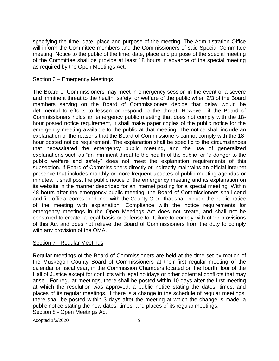specifying the time, date, place and purpose of the meeting. The Administration Office will inform the Committee members and the Commissioners of said Special Committee meeting. Notice to the public of the time, date, place and purpose of the special meeting of the Committee shall be provide at least 18 hours in advance of the special meeting as required by the Open Meetings Act.

## Section 6 – Emergency Meetings

The Board of Commissioners may meet in emergency session in the event of a severe and imminent threat to the health, safety, or welfare of the public when 2/3 of the Board members serving on the Board of Commissioners decide that delay would be detrimental to efforts to lessen or respond to the threat. However, if the Board of Commissioners holds an emergency public meeting that does not comply with the 18 hour posted notice requirement, it shall make paper copies of the public notice for the emergency meeting available to the public at that meeting. The notice shall include an explanation of the reasons that the Board of Commissioners cannot comply with the 18 hour posted notice requirement. The explanation shall be specific to the circumstances that necessitated the emergency public meeting, and the use of generalized explanations such as "an imminent threat to the health of the public" or "a danger to the public welfare and safety" does not meet the explanation requirements of this subsection. If Board of Commissioners directly or indirectly maintains an official internet presence that includes monthly or more frequent updates of public meeting agendas or minutes, it shall post the public notice of the emergency meeting and its explanation on its website in the manner described for an internet posting for a special meeting. Within 48 hours after the emergency public meeting, the Board of Commissioners shall send and file official correspondence with the County Clerk that shall include the public notice of the meeting with explanation. Compliance with the notice requirements for emergency meetings in the Open Meetings Act does not create, and shall not be construed to create, a legal basis or defense for failure to comply with other provisions of this Act and does not relieve the Board of Commissioners from the duty to comply with any provision of the OMA.

## Section 7 - Regular Meetings

Regular meetings of the Board of Commissioners are held at the time set by motion of the Muskegon County Board of Commissioners at their first regular meeting of the calendar or fiscal year, in the Commission Chambers located on the fourth floor of the Hall of Justice except for conflicts with legal holidays or other potential conflicts that may arise. For regular meetings, there shall be posted within 10 days after the first meeting at which the resolution was approved, a public notice stating the dates, times, and places of its regular meetings. If there is a change in the schedule of regular meetings, there shall be posted within 3 days after the meeting at which the change is made, a public notice stating the new dates, times, and places of its regular meetings. Section 8 - Open Meetings Act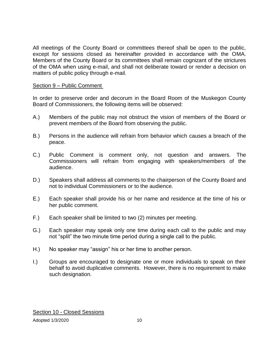All meetings of the County Board or committees thereof shall be open to the public, except for sessions closed as hereinafter provided in accordance with the OMA. Members of the County Board or its committees shall remain cognizant of the strictures of the OMA when using e-mail, and shall not deliberate toward or render a decision on matters of public policy through e-mail.

## Section 9 – Public Comment

In order to preserve order and decorum in the Board Room of the Muskegon County Board of Commissioners, the following items will be observed:

- A.) Members of the public may not obstruct the vision of members of the Board or prevent members of the Board from observing the public.
- B.) Persons in the audience will refrain from behavior which causes a breach of the peace.
- C.) Public Comment is comment only, not question and answers. The Commissioners will refrain from engaging with speakers/members of the audience.
- D.) Speakers shall address all comments to the chairperson of the County Board and not to individual Commissioners or to the audience.
- E.) Each speaker shall provide his or her name and residence at the time of his or her public comment.
- F.) Each speaker shall be limited to two (2) minutes per meeting.
- G.) Each speaker may speak only one time during each call to the public and may not "split" the two minute time period during a single call to the public.
- H.) No speaker may "assign" his or her time to another person.
- I.) Groups are encouraged to designate one or more individuals to speak on their behalf to avoid duplicative comments. However, there is no requirement to make such designation.

Section 10 - Closed Sessions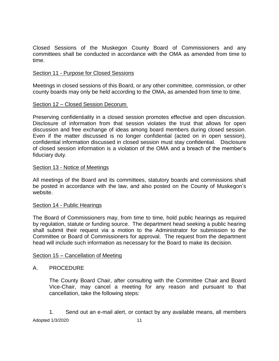Closed Sessions of the Muskegon County Board of Commissioners and any committees shall be conducted in accordance with the OMA as amended from time to time.

## Section 11 - Purpose for Closed Sessions

Meetings in closed sessions of this Board, or any other committee, commission, or other county boards may only be held according to the OMA<sub>7</sub> as amended from time to time.

## Section 12 – Closed Session Decorum

Preserving confidentiality in a closed session promotes effective and open discussion. Disclosure of information from that session violates the trust that allows for open discussion and free exchange of ideas among board members during closed session. Even if the matter discussed is no longer confidential (acted on in open session), confidential information discussed in closed session must stay confidential. Disclosure of closed session information is a violation of the OMA and a breach of the member's fiduciary duty.

## Section 13 - Notice of Meetings

All meetings of the Board and its committees, statutory boards and commissions shall be posted in accordance with the law, and also posted on the County of Muskegon's website.

## Section 14 - Public Hearings

The Board of Commissioners may, from time to time, hold public hearings as required by regulation, statute or funding source. The department head seeking a public hearing shall submit their request via a motion to the Administrator for submission to the Committee or Board of Commissioners for approval. The request from the department head will include such information as necessary for the Board to make its decision.

## Section 15 – Cancellation of Meeting

## A. PROCEDURE

The County Board Chair, after consulting with the Committee Chair and Board Vice-Chair, may cancel a meeting for any reason and pursuant to that cancellation, take the following steps:

Adopted 1/3/2020 11 1. Send out an e-mail alert, or contact by any available means, all members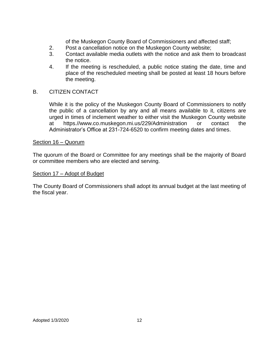of the Muskegon County Board of Commissioners and affected staff;

- 2. Post a cancellation notice on the Muskegon County website;
- 3. Contact available media outlets with the notice and ask them to broadcast the notice.
- 4. If the meeting is rescheduled, a public notice stating the date, time and place of the rescheduled meeting shall be posted at least 18 hours before the meeting.

## B. CITIZEN CONTACT

While it is the policy of the Muskegon County Board of Commissioners to notify the public of a cancellation by any and all means available to it, citizens are urged in times of inclement weather to either visit the Muskegon County website at https.//www.co.muskegon.mi.us/229/Administration or contact the Administrator's Office at 231-724-6520 to confirm meeting dates and times.

#### Section 16 – Quorum

The quorum of the Board or Committee for any meetings shall be the majority of Board or committee members who are elected and serving.

#### Section 17 – Adopt of Budget

The County Board of Commissioners shall adopt its annual budget at the last meeting of the fiscal year.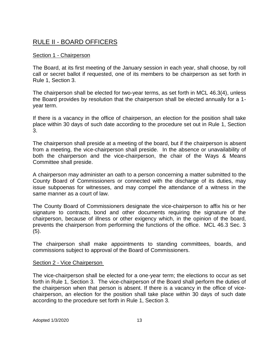# RULE II - BOARD OFFICERS

## Section 1 - Chairperson

The Board, at its first meeting of the January session in each year, shall choose, by roll call or secret ballot if requested, one of its members to be chairperson as set forth in Rule 1, Section 3.

The chairperson shall be elected for two-year terms, as set forth in MCL 46.3(4), unless the Board provides by resolution that the chairperson shall be elected annually for a 1 year term.

If there is a vacancy in the office of chairperson, an election for the position shall take place within 30 days of such date according to the procedure set out in Rule 1, Section 3.

The chairperson shall preside at a meeting of the board, but if the chairperson is absent from a meeting, the vice-chairperson shall preside. In the absence or unavailability of both the chairperson and the vice-chairperson, the chair of the Ways & Means Committee shall preside.

A chairperson may administer an oath to a person concerning a matter submitted to the County Board of Commissioners or connected with the discharge of its duties, may issue subpoenas for witnesses, and may compel the attendance of a witness in the same manner as a court of law.

The County Board of Commissioners designate the vice-chairperson to affix his or her signature to contracts, bond and other documents requiring the signature of the chairperson, because of illness or other exigency which, in the opinion of the board, prevents the chairperson from performing the functions of the office. MCL 46.3 Sec. 3 (5).

The chairperson shall make appointments to standing committees, boards, and commissions subject to approval of the Board of Commissioners.

## Section 2 - Vice Chairperson

The vice-chairperson shall be elected for a one-year term; the elections to occur as set forth in Rule 1, Section 3. The vice-chairperson of the Board shall perform the duties of the chairperson when that person is absent. If there is a vacancy in the office of vicechairperson, an election for the position shall take place within 30 days of such date according to the procedure set forth in Rule 1, Section 3.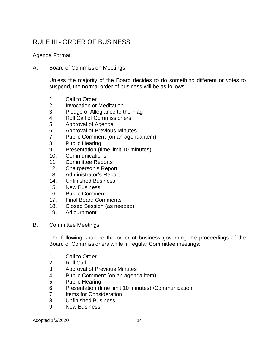# RULE III - ORDER OF BUSINESS

## Agenda Format

A. Board of Commission Meetings

Unless the majority of the Board decides to do something different or votes to suspend, the normal order of business will be as follows:

- 1. Call to Order
- 2. Invocation or Meditation
- 3. Pledge of Allegiance to the Flag
- 4. Roll Call of Commissioners
- 5. Approval of Agenda
- 6. Approval of Previous Minutes
- 7. Public Comment (on an agenda item)
- 8. Public Hearing
- 9. Presentation (time limit 10 minutes)
- 10. Communications
- 11 Committee Reports
- 12. Chairperson's Report
- 13. Administrator's Report
- 14. Unfinished Business
- 15. New Business
- 16. Public Comment
- 17. Final Board Comments
- 18. Closed Session (as needed)
- 19. Adjournment
- B. Committee Meetings

The following shall be the order of business governing the proceedings of the Board of Commissioners while in regular Committee meetings:

- 1. Call to Order
- 2. Roll Call
- 3. Approval of Previous Minutes
- 4. Public Comment (on an agenda item)
- 5. Public Hearing
- 6. Presentation (time limit 10 minutes) /Communication
- 7. Items for Consideration
- 8. Unfinished Business
- 9. New Business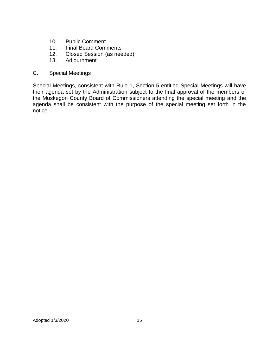- 10. Public Comment
- 11. Final Board Comments
- 12. Closed Session (as needed)
- 13. Adjournment
- C. Special Meetings

Special Meetings, consistent with Rule 1, Section 5 entitled Special Meetings will have their agenda set by the Administration subject to the final approval of the members of the Muskegon County Board of Commissioners attending the special meeting and the agenda shall be consistent with the purpose of the special meeting set forth in the notice.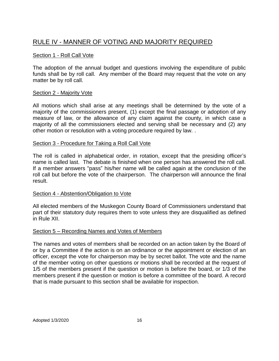# RULE IV - MANNER OF VOTING AND MAJORITY REQUIRED

## Section 1 - Roll Call Vote

The adoption of the annual budget and questions involving the expenditure of public funds shall be by roll call. Any member of the Board may request that the vote on any matter be by roll call.

## Section 2 - Majority Vote

All motions which shall arise at any meetings shall be determined by the vote of a majority of the commissioners present, (1) except the final passage or adoption of any measure of law, or the allowance of any claim against the county, in which case a majority of all the commissioners elected and serving shall be necessary and (2) any other motion or resolution with a voting procedure required by law. .

## Section 3 - Procedure for Taking a Roll Call Vote

The roll is called in alphabetical order, in rotation, except that the presiding officer's name is called last. The debate is finished when one person has answered the roll call. If a member answers "pass" his/her name will be called again at the conclusion of the roll call but before the vote of the chairperson. The chairperson will announce the final result.

## Section 4 - Abstention/Obligation to Vote

All elected members of the Muskegon County Board of Commissioners understand that part of their statutory duty requires them to vote unless they are disqualified as defined in Rule XII.

## Section 5 – Recording Names and Votes of Members

The names and votes of members shall be recorded on an action taken by the Board of or by a Committee if the action is on an ordinance or the appointment or election of an officer, except the vote for chairperson may be by secret ballot. The vote and the name of the member voting on other questions or motions shall be recorded at the request of 1/5 of the members present if the question or motion is before the board, or 1/3 of the members present if the question or motion is before a committee of the board. A record that is made pursuant to this section shall be available for inspection.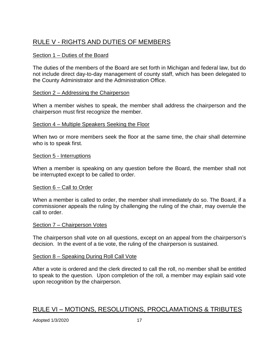# RULE V - RIGHTS AND DUTIES OF MEMBERS

## Section 1 – Duties of the Board

The duties of the members of the Board are set forth in Michigan and federal law, but do not include direct day-to-day management of county staff, which has been delegated to the County Administrator and the Administration Office.

## Section 2 – Addressing the Chairperson

When a member wishes to speak, the member shall address the chairperson and the chairperson must first recognize the member.

## Section 4 – Multiple Speakers Seeking the Floor

When two or more members seek the floor at the same time, the chair shall determine who is to speak first.

## Section 5 - Interruptions

When a member is speaking on any question before the Board, the member shall not be interrupted except to be called to order.

## Section 6 – Call to Order

When a member is called to order, the member shall immediately do so. The Board, if a commissioner appeals the ruling by challenging the ruling of the chair, may overrule the call to order.

## Section 7 – Chairperson Votes

The chairperson shall vote on all questions, except on an appeal from the chairperson's decision. In the event of a tie vote, the ruling of the chairperson is sustained.

## Section 8 – Speaking During Roll Call Vote

After a vote is ordered and the clerk directed to call the roll, no member shall be entitled to speak to the question. Upon completion of the roll, a member may explain said vote upon recognition by the chairperson.

## RULE VI – MOTIONS, RESOLUTIONS, PROCLAMATIONS & TRIBUTES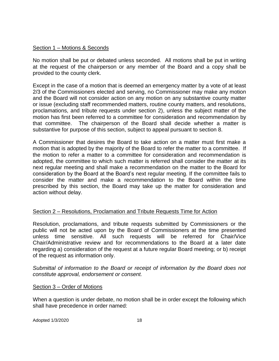## Section 1 – Motions & Seconds

No motion shall be put or debated unless seconded. All motions shall be put in writing at the request of the chairperson or any member of the Board and a copy shall be provided to the county clerk.

Except in the case of a motion that is deemed an emergency matter by a vote of at least 2/3 of the Commissioners elected and serving, no Commissioner may make any motion and the Board will not consider action on any motion on any substantive county matter or issue (excluding staff recommended matters, routine county matters, and resolutions, proclamations, and tribute requests under section 2), unless the subject matter of the motion has first been referred to a committee for consideration and recommendation by that committee. The chairperson of the Board shall decide whether a matter is substantive for purpose of this section, subject to appeal pursuant to section 8.

A Commissioner that desires the Board to take action on a matter must first make a motion that is adopted by the majority of the Board to refer the matter to a committee. If the motion to refer a matter to a committee for consideration and recommendation is adopted, the committee to which such matter is referred shall consider the matter at its next regular meeting and shall make a recommendation on the matter to the Board for consideration by the Board at the Board's next regular meeting. If the committee fails to consider the matter and make a recommendation to the Board within the time prescribed by this section, the Board may take up the matter for consideration and action without delay.

## Section 2 – Resolutions, Proclamation and Tribute Requests Time for Action

Resolution, proclamations, and tribute requests submitted by Commissioners or the public will not be acted upon by the Board of Commissioners at the time presented unless time sensitive. All such requests will be referred for Chair/Vice Chair/Administrative review and for recommendations to the Board at a later date regarding a) consideration of the request at a future regular Board meeting; or b) receipt of the request as information only.

*Submittal of information to the Board or receipt of information by the Board does not constitute approval, endorsement or consent.* 

## Section 3 – Order of Motions

When a question is under debate, no motion shall be in order except the following which shall have precedence in order named: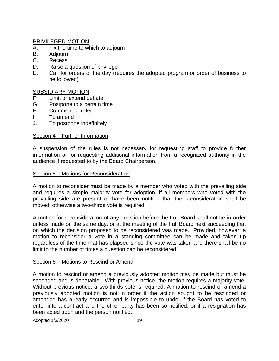## PRIVILEGED MOTION

- A. Fix the time to which to adjourn
- B. Adjourn
- C. Recess
- D. Raise a question of privilege
- E. Call for orders of the day (requires the adopted program or order of business to be followed)

## SUBSIDIARY MOTION

- F. Limit or extend debate
- G. Postpone to a certain time<br>H. Comment or refer
- Comment or refer
- I. To amend
- J. To postpone indefinitely

## Section 4 – Further Information

A suspension of the rules is not necessary for requesting staff to provide further information or for requesting additional information from a recognized authority in the audience if requested to by the Board Chairperson.

## Section 5 – Motions for Reconsideration

A motion to reconsider must be made by a member who voted with the prevailing side and requires a simple majority vote for adoption, if all members who voted with the prevailing side are present or have been notified that the reconsideration shall be moved, otherwise a two-thirds vote is required.

A motion for reconsideration of any question before the Full Board shall not be in order unless made on the same day, or at the meeting of the Full Board next succeeding that on which the decision proposed to be reconsidered was made. Provided, however, a motion to reconsider a vote in a standing committee can be made and taken up regardless of the time that has elapsed since the vote was taken and there shall be no limit to the number of times a question can be reconsidered.

## Section 6 – Motions to Rescind or Amend

A motion to rescind or amend a previously adopted motion may be made but must be seconded and is debatable. With previous notice, the motion requires a majority vote. Without previous notice, a two-thirds vote is required. A motion to rescind or amend a previously adopted motion is not in order if the action sought to be rescinded or amended has already occurred and is impossible to undo; if the Board has voted to enter into a contract and the other party has been so notified; or if a resignation has been acted upon and the person notified.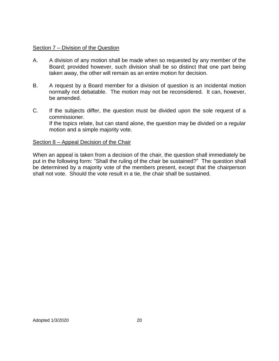## Section 7 – Division of the Question

- A. A division of any motion shall be made when so requested by any member of the Board; provided however, such division shall be so distinct that one part being taken away, the other will remain as an entire motion for decision.
- B. A request by a Board member for a division of question is an incidental motion normally not debatable. The motion may not be reconsidered. It can, however, be amended.
- C. If the subjects differ, the question must be divided upon the sole request of a commissioner. If the topics relate, but can stand alone, the question may be divided on a regular motion and a simple majority vote.

## Section 8 – Appeal Decision of the Chair

When an appeal is taken from a decision of the chair, the question shall immediately be put in the following form: "Shall the ruling of the chair be sustained?" The question shall be determined by a majority vote of the members present, except that the chairperson shall not vote. Should the vote result in a tie, the chair shall be sustained.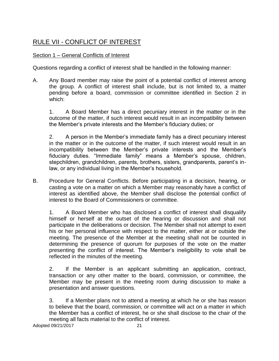# RULE VII - CONFLICT OF INTEREST

## Section 1 – General Conflicts of Interest

Questions regarding a conflict of interest shall be handled in the following manner:

A. Any Board member may raise the point of a potential conflict of interest among the group. A conflict of interest shall include, but is not limited to, a matter pending before a board, commission or committee identified in Section 2 in which:

1. A Board Member has a direct pecuniary interest in the matter or in the outcome of the matter, if such interest would result in an incompatibility between the Member's private interests and the Member's fiduciary duties; or

2. A person in the Member's immediate family has a direct pecuniary interest in the matter or in the outcome of the matter, if such interest would result in an incompatibility between the Member's private interests and the Member's fiduciary duties. "Immediate family" means a Member's spouse, children, stepchildren, grandchildren, parents, brothers, sisters, grandparents, parent's inlaw, or any individual living in the Member's household.

B. Procedure for General Conflicts. Before participating in a decision, hearing, or casting a vote on a matter on which a Member may reasonably have a conflict of interest as identified above, the Member shall disclose the potential conflict of interest to the Board of Commissioners or committee.

1. A Board Member who has disclosed a conflict of interest shall disqualify himself or herself at the outset of the hearing or discussion and shall not participate in the deliberations or decision. The Member shall not attempt to exert his or her personal influence with respect to the matter, either at or outside the meeting. The presence of the Member at the meeting shall not be counted in determining the presence of quorum for purposes of the vote on the matter presenting the conflict of interest. The Member's ineligibility to vote shall be reflected in the minutes of the meeting.

2. If the Member is an applicant submitting an application, contract, transaction or any other matter to the board, commission, or committee, the Member may be present in the meeting room during discussion to make a presentation and answer questions.

3. If a Member plans not to attend a meeting at which he or she has reason to believe that the board, commission, or committee will act on a matter in which the Member has a conflict of interest, he or she shall disclose to the chair of the meeting all facts material to the conflict of interest.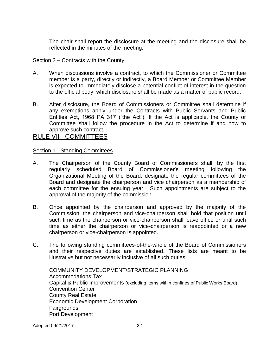The chair shall report the disclosure at the meeting and the disclosure shall be reflected in the minutes of the meeting.

## Section 2 – Contracts with the County

- A. When discussions involve a contract, to which the Commissioner or Committee member is a party, directly or indirectly, a Board Member or Committee Member is expected to immediately disclose a potential conflict of interest in the question to the official body, which disclosure shall be made as a matter of public record.
- B. After disclosure, the Board of Commissioners or Committee shall determine if any exemptions apply under the Contracts with Public Servants and Public Entities Act, 1968 PA 317 ("the Act"). If the Act is applicable, the County or Committee shall follow the procedure in the Act to determine if and how to approve such contract.

## RULE VII - COMMITTEES

## Section 1 - Standing Committees

- A. The Chairperson of the County Board of Commissioners shall, by the first regularly scheduled Board of Commissioner's meeting following the Organizational Meeting of the Board, designate the regular committees of the Board and designate the chairperson and vice chairperson as a membership of each committee for the ensuing year. Such appointments are subject to the approval of the majority of the commission.
- B. Once appointed by the chairperson and approved by the majority of the Commission, the chairperson and vice-chairperson shall hold that position until such time as the chairperson or vice-chairperson shall leave office or until such time as either the chairperson or vice-chairperson is reappointed or a new chairperson or vice-chairperson is appointed.
- C. The following standing committees-of-the-whole of the Board of Commissioners and their respective duties are established. These lists are meant to be illustrative but not necessarily inclusive of all such duties.

COMMUNITY DEVELOPMENT/STRATEGIC PLANNING Accommodations Tax Capital & Public Improvements (excluding items within confines of Public Works Board) Convention Center County Real Estate Economic Development Corporation Fairgrounds Port Development

Adopted 09/21/2017 22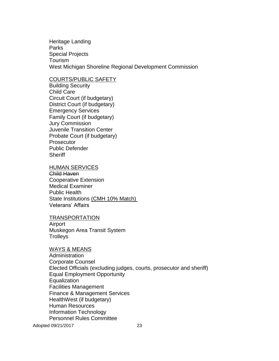Heritage Landing **Parks** Special Projects Tourism West Michigan Shoreline Regional Development Commission

## COURTS/PUBLIC SAFETY

Building Security Child Care Circuit Court (if budgetary) District Court (if budgetary) Emergency Services Family Court (if budgetary) Jury Commission Juvenile Transition Center Probate Court (if budgetary) **Prosecutor** Public Defender **Sheriff** 

#### HUMAN SERVICES

Child Haven Cooperative Extension Medical Examiner Public Health State Institutions (CMH 10% Match) Veterans' Affairs

#### TRANSPORTATION

Airport Muskegon Area Transit System **Trolleys** 

#### WAYS & MEANS

Administration Corporate Counsel Elected Officials (excluding judges, courts, prosecutor and sheriff) Equal Employment Opportunity **Equalization** Facilities Management Finance & Management Services HealthWest (if budgetary) Human Resources Information Technology Personnel Rules Committee

Adopted 09/21/2017 23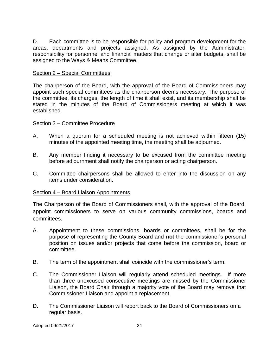D. Each committee is to be responsible for policy and program development for the areas, departments and projects assigned. As assigned by the Administrator, responsibility for personnel and financial matters that change or alter budgets, shall be assigned to the Ways & Means Committee.

## Section 2 – Special Committees

The chairperson of the Board, with the approval of the Board of Commissioners may appoint such special committees as the chairperson deems necessary. The purpose of the committee, its charges, the length of time it shall exist, and its membership shall be stated in the minutes of the Board of Commissioners meeting at which it was established.

## Section 3 – Committee Procedure

- A. When a quorum for a scheduled meeting is not achieved within fifteen (15) minutes of the appointed meeting time, the meeting shall be adjourned.
- B. Any member finding it necessary to be excused from the committee meeting before adjournment shall notify the chairperson or acting chairperson.
- C. Committee chairpersons shall be allowed to enter into the discussion on any items under consideration.

## Section 4 – Board Liaison Appointments

The Chairperson of the Board of Commissioners shall, with the approval of the Board, appoint commissioners to serve on various community commissions, boards and committees.

- A. Appointment to these commissions, boards or committees, shall be for the purpose of representing the County Board and **no**t the commissioner's personal position on issues and/or projects that come before the commission, board or committee.
- B. The term of the appointment shall coincide with the commissioner's term.
- C. The Commissioner Liaison will regularly attend scheduled meetings. If more than three unexcused consecutive meetings are missed by the Commissioner Liaison, the Board Chair through a majority vote of the Board may remove that Commissioner Liaison and appoint a replacement.
- D. The Commissioner Liaison will report back to the Board of Commissioners on a regular basis.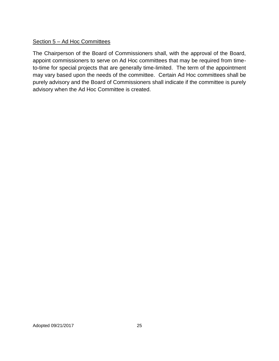## Section 5 – Ad Hoc Committees

The Chairperson of the Board of Commissioners shall, with the approval of the Board, appoint commissioners to serve on Ad Hoc committees that may be required from timeto-time for special projects that are generally time-limited. The term of the appointment may vary based upon the needs of the committee. Certain Ad Hoc committees shall be purely advisory and the Board of Commissioners shall indicate if the committee is purely advisory when the Ad Hoc Committee is created.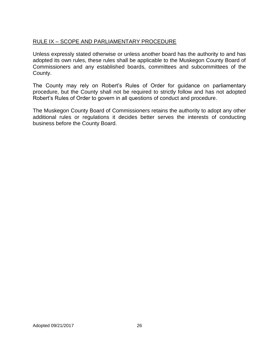## RULE IX – SCOPE AND PARLIAMENTARY PROCEDURE

Unless expressly stated otherwise or unless another board has the authority to and has adopted its own rules, these rules shall be applicable to the Muskegon County Board of Commissioners and any established boards, committees and subcommittees of the County.

The County may rely on Robert's Rules of Order for guidance on parliamentary procedure, but the County shall not be required to strictly follow and has not adopted Robert's Rules of Order to govern in all questions of conduct and procedure.

The Muskegon County Board of Commissioners retains the authority to adopt any other additional rules or regulations it decides better serves the interests of conducting business before the County Board.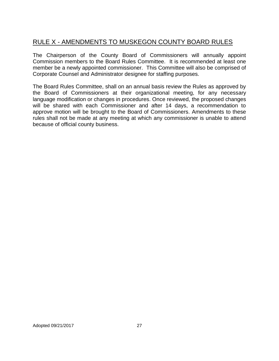# RULE X - AMENDMENTS TO MUSKEGON COUNTY BOARD RULES

The Chairperson of the County Board of Commissioners will annually appoint Commission members to the Board Rules Committee. It is recommended at least one member be a newly appointed commissioner. This Committee will also be comprised of Corporate Counsel and Administrator designee for staffing purposes.

The Board Rules Committee, shall on an annual basis review the Rules as approved by the Board of Commissioners at their organizational meeting, for any necessary language modification or changes in procedures. Once reviewed, the proposed changes will be shared with each Commissioner and after 14 days, a recommendation to approve motion will be brought to the Board of Commissioners. Amendments to these rules shall not be made at any meeting at which any commissioner is unable to attend because of official county business.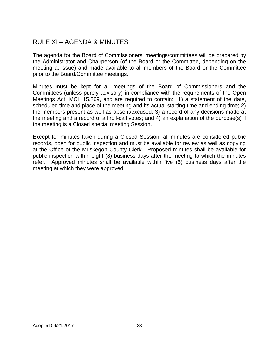# RULE XI – AGENDA & MINUTES

The agenda for the Board of Commissioners' meetings/committees will be prepared by the Administrator and Chairperson (of the Board or the Committee, depending on the meeting at issue) and made available to all members of the Board or the Committee prior to the Board/Committee meetings.

Minutes must be kept for all meetings of the Board of Commissioners and the Committees (unless purely advisory) in compliance with the requirements of the Open Meetings Act, MCL 15.269, and are required to contain: 1) a statement of the date, scheduled time and place of the meeting and its actual starting time and ending time; 2) the members present as well as absent/excused; 3) a record of any decisions made at the meeting and a record of all roll-call votes; and 4) an explanation of the purpose(s) if the meeting is a Closed special meeting Session.

Except for minutes taken during a Closed Session, all minutes are considered public records, open for public inspection and must be available for review as well as copying at the Office of the Muskegon County Clerk. Proposed minutes shall be available for public inspection within eight (8) business days after the meeting to which the minutes refer. Approved minutes shall be available within five (5) business days after the meeting at which they were approved.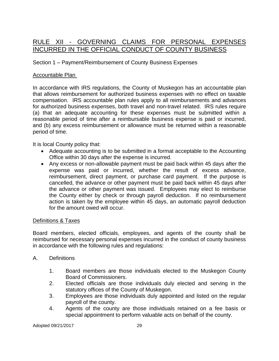# RULE XII - GOVERNING CLAIMS FOR PERSONAL EXPENSES INCURRED IN THE OFFICIAL CONDUCT OF COUNTY BUSINESS

## Section 1 – Payment/Reimbursement of County Business Expenses

## Accountable Plan

In accordance with IRS regulations, the County of Muskegon has an accountable plan that allows reimbursement for authorized business expenses with no effect on taxable compensation. IRS accountable plan rules apply to all reimbursements and advances for authorized business expenses, both travel and non-travel related. IRS rules require (a) that an adequate accounting for these expenses must be submitted within a reasonable period of time after a reimbursable business expense is paid or incurred, and (b) any excess reimbursement or allowance must be returned within a reasonable period of time.

It is local County policy that:

- Adequate accounting is to be submitted in a format acceptable to the Accounting Office within 30 days after the expense is incurred.
- Any excess or non-allowable payment must be paid back within 45 days after the expense was paid or incurred, whether the result of excess advance, reimbursement, direct payment, or purchase card payment. If the purpose is cancelled, the advance or other payment must be paid back within 45 days after the advance or other payment was issued. Employees may elect to reimburse the County either by check or through payroll deduction. If no reimbursement action is taken by the employee within 45 days, an automatic payroll deduction for the amount owed will occur.

## Definitions & Taxes

Board members, elected officials, employees, and agents of the county shall be reimbursed for necessary personal expenses incurred in the conduct of county business in accordance with the following rules and regulations:

## A. Definitions

- 1. Board members are those individuals elected to the Muskegon County Board of Commissioners.
- 2. Elected officials are those individuals duly elected and serving in the statutory offices of the County of Muskegon.
- 3. Employees are those individuals duly appointed and listed on the regular payroll of the county.
- 4. Agents of the county are those individuals retained on a fee basis or special appointment to perform valuable acts on behalf of the county.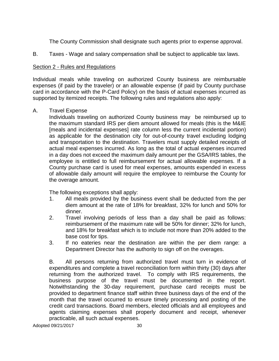The County Commission shall designate such agents prior to expense approval.

B. Taxes - Wage and salary compensation shall be subject to applicable tax laws.

## Section 2 - Rules and Regulations

Individual meals while traveling on authorized County business are reimbursable expenses (if paid by the traveler) or an allowable expense (if paid by County purchase card in accordance with the P-Card Policy) on the basis of actual expenses incurred as supported by itemized receipts. The following rules and regulations also apply:

## A. Travel Expense

Individuals traveling on authorized County business may be reimbursed up to the maximum standard IRS per diem amount allowed for meals (this is the M&IE [meals and incidental expenses] rate column less the current incidental portion) as applicable for the destination city for out-of-county travel excluding lodging and transportation to the destination. Travelers must supply detailed receipts of actual meal expenses incurred. As long as the total of actual expenses incurred in a day does not exceed the maximum daily amount per the GSA/IRS tables, the employee is entitled to full reimbursement for actual allowable expenses. If a County purchase card is used for meal expenses, amounts expended in excess of allowable daily amount will require the employee to reimburse the County for the overage amount.

The following exceptions shall apply:

- 1. All meals provided by the business event shall be deducted from the per diem amount at the rate of 18% for breakfast, 32% for lunch and 50% for dinner.
- 2. Travel involving periods of less than a day shall be paid as follows: reimbursement of the maximum rate will be 50% for dinner; 32% for lunch, and 18% for breakfast which is to include not more than 20% added to the base cost for tips.
- 3. If no eateries near the destination are within the per diem range: a Department Director has the authority to sign off on the overages.

B. All persons returning from authorized travel must turn in evidence of expenditures and complete a travel reconciliation form within thirty (30) days after returning from the authorized travel. To comply with IRS requirements, the business purpose of the travel must be documented in the report. Notwithstanding the 30-day requirement, purchase card receipts must be provided to department finance staff within three business days of the end of the month that the travel occurred to ensure timely processing and posting of the credit card transactions. Board members, elected officials and all employees and agents claiming expenses shall properly document and receipt, whenever practicable, all such actual expenses.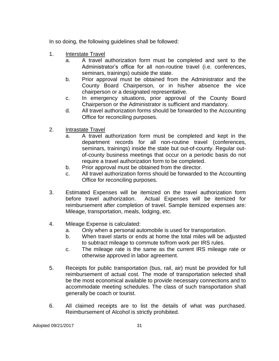In so doing, the following guidelines shall be followed:

- 1. Interstate Travel
	- a. A travel authorization form must be completed and sent to the Administrator's office for all non-routine travel (i.e. conferences, seminars, trainings) outside the state.
	- b. Prior approval must be obtained from the Administrator and the County Board Chairperson, or in his/her absence the vice chairperson or a designated representative.
	- c. In emergency situations, prior approval of the County Board Chairperson or the Administrator is sufficient and mandatory.
	- d. All travel authorization forms should be forwarded to the Accounting Office for reconciling purposes.
- 2. Intrastate Travel
	- a. A travel authorization form must be completed and kept in the department records for all non-routine travel (conferences, seminars, trainings) inside the state but out-of-county. Regular outof-county business meetings that occur on a periodic basis do not require a travel authorization form to be completed.
	- b. Prior approval must be obtained from the director.
	- c. All travel authorization forms should be forwarded to the Accounting Office for reconciling purposes.
- 3. Estimated Expenses will be itemized on the travel authorization form before travel authorization. Actual Expenses will be itemized for reimbursement after completion of travel. Sample itemized expenses are: Mileage, transportation, meals, lodging, etc.
- 4. Mileage Expense is calculated:
	- a. Only when a personal automobile is used for transportation.
	- b. When travel starts or ends at home the total miles will be adjusted to subtract mileage to commute to/from work per IRS rules.
	- c. The mileage rate is the same as the current IRS mileage rate or otherwise approved in labor agreement.
- 5. Receipts for public transportation (bus, rail, air) must be provided for full reimbursement of actual cost. The mode of transportation selected shall be the most economical available to provide necessary connections and to accommodate meeting schedules. The class of such transportation shall generally be coach or tourist.
- 6. All claimed receipts are to list the details of what was purchased. Reimbursement of Alcohol is strictly prohibited.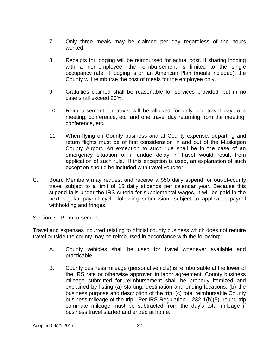- 7. Only three meals may be claimed per day regardless of the hours worked.
- 8. Receipts for lodging will be reimbursed for actual cost. If sharing lodging with a non-employee, the reimbursement is limited to the single occupancy rate. If lodging is on an American Plan (meals included), the County will reimburse the cost of meals for the employee only.
- 9. Gratuities claimed shall be reasonable for services provided, but in no case shall exceed 20%.
- 10. Reimbursement for travel will be allowed for only one travel day to a meeting, conference, etc. and one travel day returning from the meeting, conference, etc.
- 11. When flying on County business and at County expense, departing and return flights must be of first consideration in and out of the Muskegon County Airport. An exception to such rule shall be in the case of an emergency situation or if undue delay in travel would result from application of such rule. If this exception is used, an explanation of such exception should be included with travel voucher.
- C. Board Members may request and receive a \$50 daily stipend for out-of-county travel subject to a limit of 15 daily stipends per calendar year. Because this stipend falls under the IRS criteria for supplemental wages, it will be paid in the next regular payroll cycle following submission, subject to applicable payroll withholding and fringes.

## Section 3 - Reimbursement

Travel and expenses incurred relating to official county business which does not require travel outside the county may be reimbursed in accordance with the following:

- A. County vehicles shall be used for travel whenever available and practicable.
- B. County business mileage (personal vehicle) is reimbursable at the lower of the IRS rate or otherwise approved in labor agreement. County business mileage submitted for reimbursement shall be properly itemized and explained by listing (a) starting, destination and ending locations, (b) the business purpose and description of the trip, (c) total reimbursable County business mileage of the trip. Per IRS Regulation 1.232-1(b)(5), round-trip commute mileage must be subtracted from the day's total mileage if business travel started and ended at home.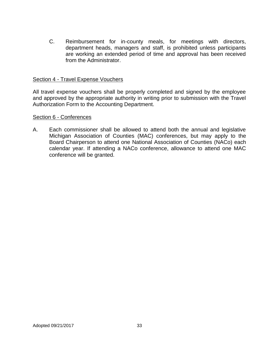C. Reimbursement for in-county meals, for meetings with directors, department heads, managers and staff, is prohibited unless participants are working an extended period of time and approval has been received from the Administrator.

## Section 4 - Travel Expense Vouchers

All travel expense vouchers shall be properly completed and signed by the employee and approved by the appropriate authority in writing prior to submission with the Travel Authorization Form to the Accounting Department.

## Section 6 - Conferences

A. Each commissioner shall be allowed to attend both the annual and legislative Michigan Association of Counties (MAC) conferences, but may apply to the Board Chairperson to attend one National Association of Counties (NACo) each calendar year. If attending a NACo conference, allowance to attend one MAC conference will be granted.